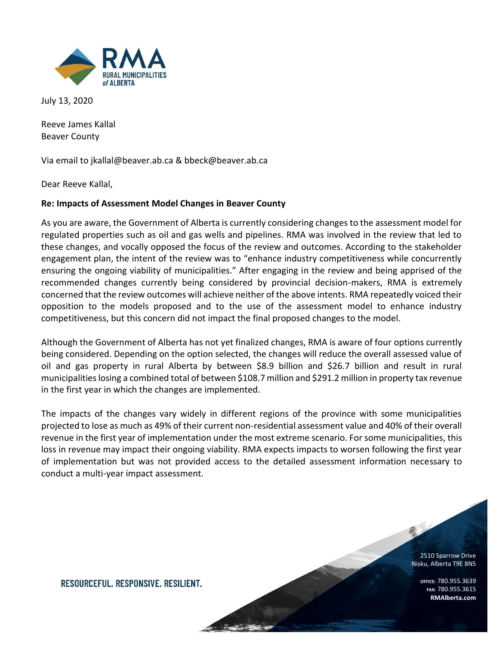

July 13, 2020

Reeve James Kallal Beaver County

Via email to jkallal@beaver.ab.ca & bbeck@beaver.ab.ca

Dear Reeve Kallal,

### **Re: Impacts of Assessment Model Changes in Beaver County**

As you are aware, the Government of Alberta is currently considering changes to the assessment model for regulated properties such as oil and gas wells and pipelines. RMA was involved in the review that led to these changes, and vocally opposed the focus of the review and outcomes. According to the stakeholder engagement plan, the intent of the review was to "enhance industry competitiveness while concurrently ensuring the ongoing viability of municipalities." After engaging in the review and being apprised of the recommended changes currently being considered by provincial decision-makers, RMA is extremely concerned that the review outcomes will achieve neither of the above intents. RMA repeatedly voiced their opposition to the models proposed and to the use of the assessment model to enhance industry competitiveness, but this concern did not impact the final proposed changes to the model.

Although the Government of Alberta has not yet finalized changes, RMA is aware of four options currently being considered. Depending on the option selected, the changes will reduce the overall assessed value of oil and gas property in rural Alberta by between \$8.9 billion and \$26.7 billion and result in rural municipalities losing a combined total of between \$108.7 million and \$291.2 million in property tax revenue in the first year in which the changes are implemented.

The impacts of the changes vary widely in different regions of the province with some municipalities projected to lose as much as 49% of their current non-residential assessment value and 40% of their overall revenue in the first year of implementation under the most extreme scenario. For some municipalities, this loss in revenue may impact their ongoing viability. RMA expects impacts to worsen following the first year of implementation but was not provided access to the detailed assessment information necessary to conduct a multi-year impact assessment.

> 2510 Sparrow Drive Nisku, Alberta T9E 8N5

> > **OFFICE:** 780.955.3639 **FAX:** 780.955.3615 **RMAlberta.com**

RESOURCEFUL, RESPONSIVE, RESILIENT.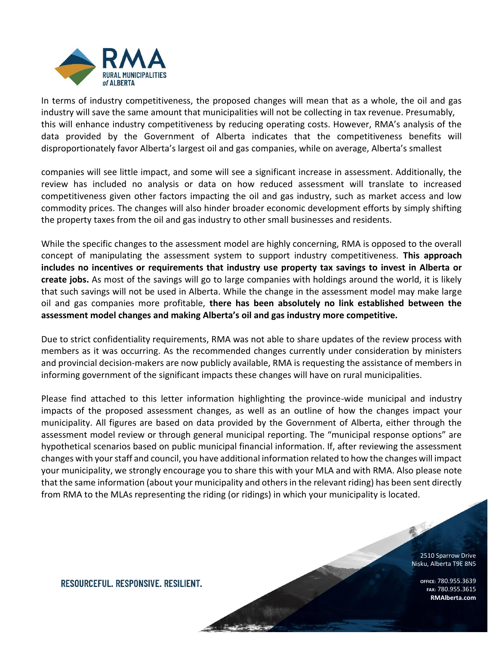

In terms of industry competitiveness, the proposed changes will mean that as a whole, the oil and gas industry will save the same amount that municipalities will not be collecting in tax revenue. Presumably, this will enhance industry competitiveness by reducing operating costs. However, RMA's analysis of the data provided by the Government of Alberta indicates that the competitiveness benefits will disproportionately favor Alberta's largest oil and gas companies, while on average, Alberta's smallest

companies will see little impact, and some will see a significant increase in assessment. Additionally, the review has included no analysis or data on how reduced assessment will translate to increased competitiveness given other factors impacting the oil and gas industry, such as market access and low commodity prices. The changes will also hinder broader economic development efforts by simply shifting the property taxes from the oil and gas industry to other small businesses and residents.

While the specific changes to the assessment model are highly concerning, RMA is opposed to the overall concept of manipulating the assessment system to support industry competitiveness. **This approach includes no incentives or requirements that industry use property tax savings to invest in Alberta or create jobs.** As most of the savings will go to large companies with holdings around the world, it is likely that such savings will not be used in Alberta. While the change in the assessment model may make large oil and gas companies more profitable, **there has been absolutely no link established between the assessment model changes and making Alberta's oil and gas industry more competitive.**

Due to strict confidentiality requirements, RMA was not able to share updates of the review process with members as it was occurring. As the recommended changes currently under consideration by ministers and provincial decision-makers are now publicly available, RMA is requesting the assistance of members in informing government of the significant impacts these changes will have on rural municipalities.

Please find attached to this letter information highlighting the province-wide municipal and industry impacts of the proposed assessment changes, as well as an outline of how the changes impact your municipality. All figures are based on data provided by the Government of Alberta, either through the assessment model review or through general municipal reporting. The "municipal response options" are hypothetical scenarios based on public municipal financial information. If, after reviewing the assessment changes with your staff and council, you have additional information related to how the changes will impact your municipality, we strongly encourage you to share this with your MLA and with RMA. Also please note that the same information (about your municipality and others in the relevant riding) has been sent directly from RMA to the MLAs representing the riding (or ridings) in which your municipality is located.

> 2510 Sparrow Drive Nisku, Alberta T9E 8N5

> > **OFFICE:** 780.955.3639 **FAX:** 780.955.3615 **RMAlberta.com**

RESOURCEFUL, RESPONSIVE, RESILIENT.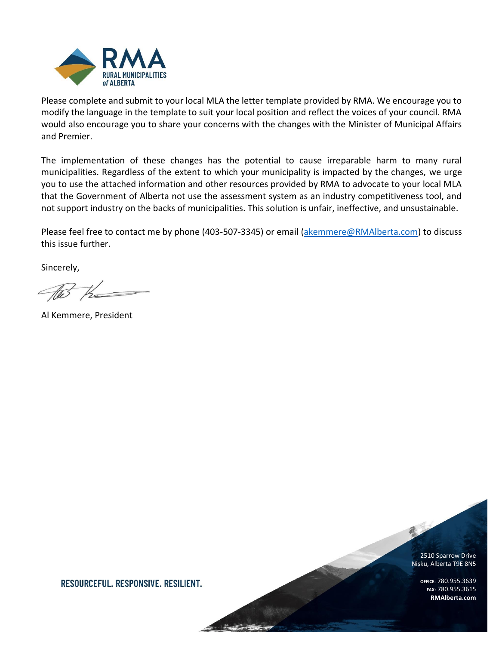

Please complete and submit to your local MLA the letter template provided by RMA. We encourage you to modify the language in the template to suit your local position and reflect the voices of your council. RMA would also encourage you to share your concerns with the changes with the Minister of Municipal Affairs and Premier.

The implementation of these changes has the potential to cause irreparable harm to many rural municipalities. Regardless of the extent to which your municipality is impacted by the changes, we urge you to use the attached information and other resources provided by RMA to advocate to your local MLA that the Government of Alberta not use the assessment system as an industry competitiveness tool, and not support industry on the backs of municipalities. This solution is unfair, ineffective, and unsustainable.

Please feel free to contact me by phone (403-507-3345) or email [\(akemmere@RMAlberta.com\)](mailto:akemmere@RMAlberta.com) to discuss this issue further.

Sincerely,

AB the

Al Kemmere, President

2510 Sparrow Drive Nisku, Alberta T9E 8N5

> **OFFICE:** 780.955.3639 **FAX:** 780.955.3615 **RMAlberta.com**

RESOURCEFUL. RESPONSIVE. RESILIENT.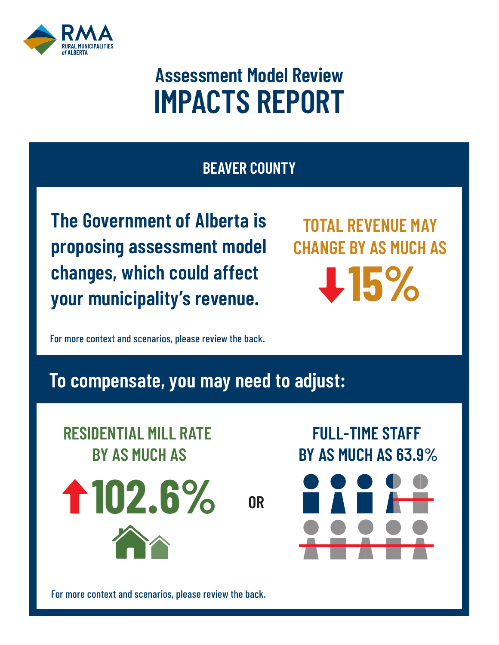

# **Assessment Model Review IMPACTS REPORT**

### **BEAVER COUNTY**

**The Government of Alberta is proposing assessment model changes, which could affect your municipality's revenue. TOTAL REVENUE** 

**TOTAL REVENUE MAY CHANGE BY AS MUCH AS 15%**

**FULL-TIME STAFF** 

**BY AS MUCH AS 63.9%**

**RESIDENTIAL MILL RATE**  For more context and scenarios, please review the back.

## ام <mark>haad to</mark> a **15% To compensate, you may need to adjust:**



For more context and scenarios, please review the back.